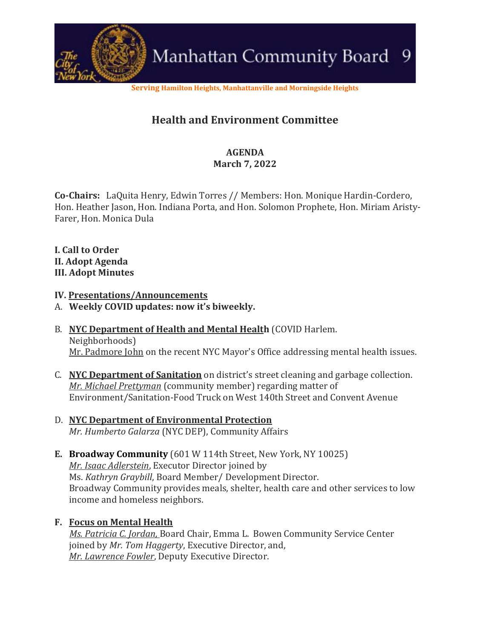

**Serving Hamilton Heights, Manhattanville and Morningside Heights**

## **Health and Environment Committee**

### **AGENDA March 7, 2022**

**Co-Chairs:** LaQuita Henry, Edwin Torres // Members: Hon. Monique Hardin-Cordero, Hon. Heather Jason, Hon. Indiana Porta, and Hon. Solomon Prophete, Hon. Miriam Aristy-Farer, Hon. Monica Dula

**I. Call to Order II. Adopt Agenda III. Adopt Minutes**

#### **IV. Presentations/Announcements**

- A. **Weekly COVID updates: now it's biweekly.**
- B. **NYC Department of Health and Mental Health** (COVID Harlem. Neighborhoods) Mr. Padmore John on the recent NYC Mayor's Office addressing mental health issues.
- C. **NYC Department of Sanitation** on district's street cleaning and garbage collection. *Mr. Michael Prettyman* (community member) regarding matter of Environment/Sanitation-Food Truck on West 140th Street and Convent Avenue
- D. **NYC Department of Environmental Protection** *Mr. Humberto Galarza* (NYC DEP), Community Affairs
- **E. Broadway Community** (601 W 114th Street, New York, NY 10025) *Mr. Isaac Adlerstein*, Executor Director joined by Ms. *Kathryn Graybill*, Board Member/ Development Director. Broadway Community provides meals, shelter, health care and other services to low income and homeless neighbors.

#### **F. Focus on Mental Health**

 *Ms. Patricia C. Jordan,* Board Chair, Emma L. Bowen Community Service Center joined by *Mr. Tom Haggerty*, Executive Director, and, *Mr. Lawrence Fowler*, Deputy Executive Director.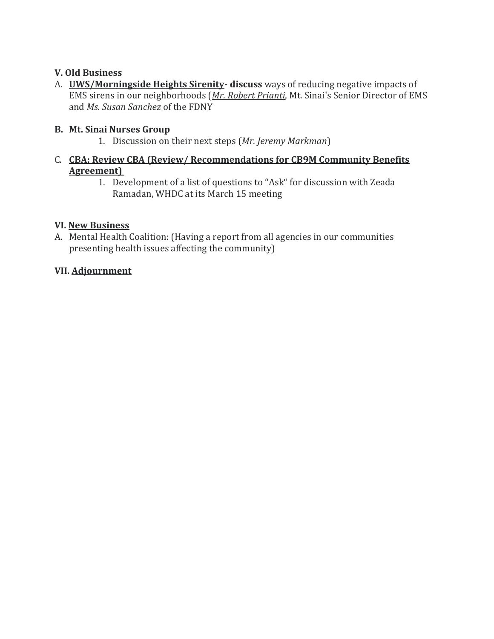#### **V. Old Business**

A. **UWS/Morningside Heights Sirenity- discuss** ways of reducing negative impacts of EMS sirens in our neighborhoods (*Mr. Robert Prianti*, Mt. Sinai's Senior Director of EMS and *Ms. Susan Sanchez* of the FDNY

#### **B. Mt. Sinai Nurses Group**

- 1. Discussion on their next steps (*Mr. Jeremy Markman*)
- C. **CBA: Review CBA (Review/ Recommendations for CB9M Community Benefits Agreement)**
	- 1. Development of a list of questions to "Ask" for discussion with Zeada Ramadan, WHDC at its March 15 meeting

#### **VI. New Business**

A. Mental Health Coalition: (Having a report from all agencies in our communities presenting health issues affecting the community)

#### **VII. Adjournment**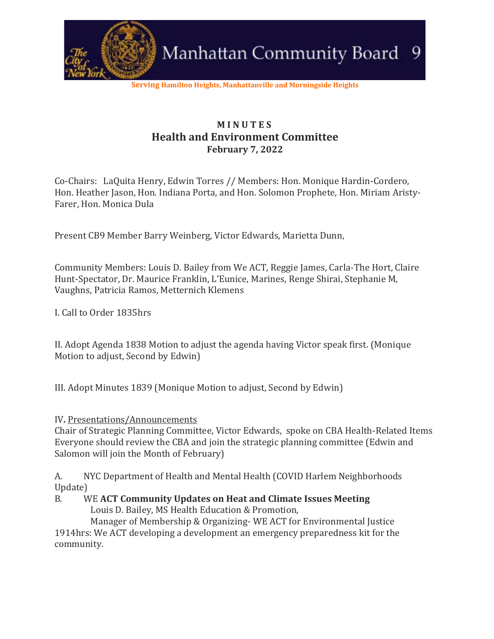

**Serving Hamilton Heights, Manhattanville and Morningside Heights**

## **M I N U T E S Health and Environment Committee February 7, 2022**

Co-Chairs: LaQuita Henry, Edwin Torres // Members: Hon. Monique Hardin-Cordero, Hon. Heather Jason, Hon. Indiana Porta, and Hon. Solomon Prophete, Hon. Miriam Aristy-Farer, Hon. Monica Dula

Present CB9 Member Barry Weinberg, Victor Edwards, Marietta Dunn,

Community Members: Louis D. Bailey from We ACT, Reggie James, Carla-The Hort, Claire Hunt-Spectator, Dr. Maurice Franklin, L'Eunice, Marines, Renge Shirai, Stephanie M, Vaughns, Patricia Ramos, Metternich Klemens

I. Call to Order 1835hrs

II. Adopt Agenda 1838 Motion to adjust the agenda having Victor speak first. (Monique Motion to adjust, Second by Edwin)

III. Adopt Minutes 1839 (Monique Motion to adjust, Second by Edwin)

IV**.** Presentations/Announcements

Chair of Strategic Planning Committee, Victor Edwards, spoke on CBA Health-Related Items Everyone should review the CBA and join the strategic planning committee (Edwin and Salomon will join the Month of February)

A. NYC Department of Health and Mental Health (COVID Harlem Neighborhoods Update)

B. WE **ACT Community Updates on Heat and Climate Issues Meeting**

Louis D. Bailey, MS Health Education & Promotion,

 Manager of Membership & Organizing- WE ACT for Environmental Justice 1914hrs: We ACT developing a development an emergency preparedness kit for the community.